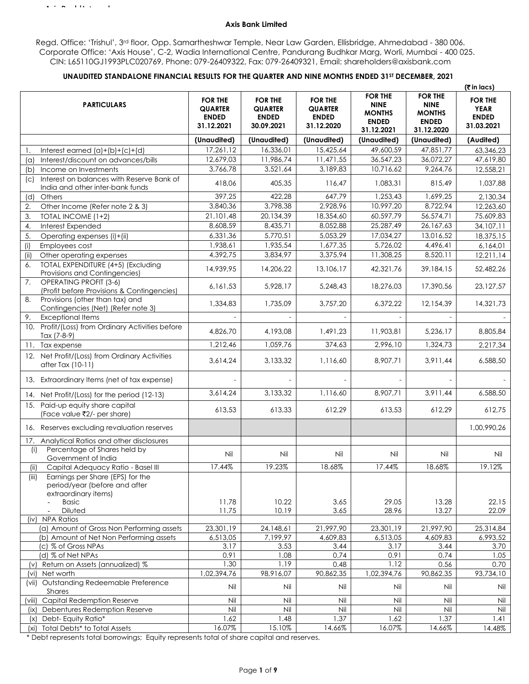#### **Axis Bank Limited**

Regd. Office: 'Trishul', 3rd floor, Opp. Samartheshwar Temple, Near Law Garden, Ellisbridge, Ahmedabad - 380 006. Corporate Office: 'Axis House', C-2, Wadia International Centre, Pandurang Budhkar Marg, Worli, Mumbai - 400 025. CIN: L65110GJ1993PLC020769, Phone: 079-26409322, Fax: 079-26409321, Email: shareholders@axisbank.com

## **UNAUDITED STANDALONE FINANCIAL RESULTS FOR THE QUARTER AND NINE MONTHS ENDED 31ST DECEMBER, 2021**

|                                                                                                    |                                                                |                                                                |                                                                |                                                                              |                                                                              | ( $\bar{\tau}$ in lacs)                                     |
|----------------------------------------------------------------------------------------------------|----------------------------------------------------------------|----------------------------------------------------------------|----------------------------------------------------------------|------------------------------------------------------------------------------|------------------------------------------------------------------------------|-------------------------------------------------------------|
| <b>PARTICULARS</b>                                                                                 | <b>FOR THE</b><br><b>QUARTER</b><br><b>ENDED</b><br>31.12.2021 | <b>FOR THE</b><br><b>QUARTER</b><br><b>ENDED</b><br>30.09.2021 | <b>FOR THE</b><br><b>QUARTER</b><br><b>ENDED</b><br>31.12.2020 | <b>FOR THE</b><br><b>NINE</b><br><b>MONTHS</b><br><b>ENDED</b><br>31.12.2021 | <b>FOR THE</b><br><b>NINE</b><br><b>MONTHS</b><br><b>ENDED</b><br>31.12.2020 | <b>FOR THE</b><br><b>YEAR</b><br><b>ENDED</b><br>31.03.2021 |
|                                                                                                    | (Unaudited)                                                    | (Unaudited)                                                    | (Unaudited)                                                    | (Unaudited)                                                                  | (Unaudited)                                                                  | (Audited)                                                   |
| Interest earned $(a)+(b)+(c)+(d)$                                                                  | 17,261,12                                                      | 16,336,01                                                      | 15,425,64                                                      | 49,600,59                                                                    | 47,851,77                                                                    | 63,346,23                                                   |
| Interest/discount on advances/bills<br>$(\alpha)$                                                  | 12,679,03                                                      | 11,986,74                                                      | 11,471,55                                                      | 36,547,23                                                                    | 36,072,27                                                                    | 47,619,80                                                   |
| Income on Investments<br>(b)                                                                       | 3,766,78                                                       | 3,521,64                                                       | 3,189,83                                                       | 10,716,62                                                                    | 9,264,76                                                                     | 12,558,21                                                   |
| Interest on balances with Reserve Bank of<br>$\mathcal{C}$<br>India and other inter-bank funds     | 418,06                                                         | 405,35                                                         | 116,47                                                         | 1,083,31                                                                     | 815,49                                                                       | 1,037,88                                                    |
| Others<br>(d)                                                                                      | 397,25                                                         | 422,28                                                         | 647,79                                                         | 1,253,43                                                                     | 1,699,25                                                                     | 2,130,34                                                    |
| Other Income (Refer note 2 & 3)<br>2.                                                              | 3,840,36                                                       | 3,798,38                                                       | 2,928,96                                                       | 10,997,20                                                                    | 8,722,94                                                                     | 12,263,60                                                   |
| 3.<br>TOTAL INCOME (1+2)                                                                           | 21,101,48                                                      | 20,134,39                                                      | 18,354,60                                                      | 60,597,79                                                                    | 56,574,71                                                                    | 75,609,83                                                   |
| Interest Expended<br>4.                                                                            | 8,608,59                                                       | 8,435,71                                                       | 8,052,88                                                       | 25,287,49                                                                    | 26, 167, 63                                                                  | 34,107,11                                                   |
| 5.<br>Operating expenses (i)+(ii)                                                                  | 6,331,36                                                       | 5,770,51                                                       | 5,053,29                                                       | 17,034,27                                                                    | 13,016,52                                                                    | 18,375,15                                                   |
| Employees cost<br>(i)                                                                              | 1,938,61                                                       | 1,935,54                                                       | 1,677,35                                                       | 5,726,02                                                                     | 4,496,41                                                                     | 6,164,01                                                    |
| Other operating expenses<br>(iii)                                                                  | 4,392,75                                                       | 3,834,97                                                       | 3,375,94                                                       | 11,308,25                                                                    | 8,520,11                                                                     | 12,211,14                                                   |
| TOTAL EXPENDITURE (4+5) (Excluding<br>6.<br>Provisions and Contingencies)                          | 14,939,95                                                      | 14,206,22                                                      | 13,106,17                                                      | 42,321,76                                                                    | 39,184,15                                                                    | 52,482,26                                                   |
| <b>OPERATING PROFIT (3-6)</b><br>7.<br>(Profit before Provisions & Contingencies)                  | 6,161,53                                                       | 5,928,17                                                       | 5,248,43                                                       | 18,276,03                                                                    | 17,390,56                                                                    | 23,127,57                                                   |
| Provisions (other than tax) and<br>8.<br>Contingencies (Net) (Refer note 3)                        | 1,334,83                                                       | 1,735,09                                                       | 3,757,20                                                       | 6,372,22                                                                     | 12,154,39                                                                    | 14,321,73                                                   |
| <b>Exceptional Items</b><br>9.                                                                     |                                                                |                                                                |                                                                |                                                                              |                                                                              |                                                             |
| 10. Profit/(Loss) from Ordinary Activities before<br>Tax (7-8-9)                                   | 4,826,70                                                       | 4,193,08                                                       | 1,491,23                                                       | 11,903,81                                                                    | 5,236,17                                                                     | 8,805,84                                                    |
| 11. Tax expense                                                                                    | 1,212,46                                                       | 1,059,76                                                       | 374,63                                                         | 2,996,10                                                                     | 1,324,73                                                                     | 2,217,34                                                    |
| 12. Net Profit/(Loss) from Ordinary Activities<br>after Tax (10-11)                                | 3,614,24                                                       | 3,133,32                                                       | 1,116,60                                                       | 8,907,71                                                                     | 3,911,44                                                                     | 6,588,50                                                    |
| 13. Extraordinary Items (net of tax expense)                                                       |                                                                |                                                                |                                                                |                                                                              |                                                                              |                                                             |
| 14. Net Profit/(Loss) for the period (12-13)                                                       | 3,614,24                                                       | 3,133,32                                                       | 1,116,60                                                       | 8,907,71                                                                     | 3,911,44                                                                     | 6,588,50                                                    |
| 15. Paid-up equity share capital<br>(Face value ₹2/- per share)                                    | 613,53                                                         | 613,33                                                         | 612,29                                                         | 613,53                                                                       | 612,29                                                                       | 612,75                                                      |
| 16. Reserves excluding revaluation reserves                                                        |                                                                |                                                                |                                                                |                                                                              |                                                                              | 1,00,990,26                                                 |
| Analytical Ratios and other disclosures<br>17.                                                     |                                                                |                                                                |                                                                |                                                                              |                                                                              |                                                             |
| Percentage of Shares held by<br>(i)                                                                | Nil                                                            | Nil                                                            | Nil                                                            | Nil                                                                          | Nil                                                                          | Nil                                                         |
| Government of India                                                                                |                                                                |                                                                |                                                                |                                                                              |                                                                              |                                                             |
| Capital Adequacy Ratio - Basel III<br>(ii)                                                         | 17.44%                                                         | 19.23%                                                         | 18.68%                                                         | 17.44%                                                                       | 18.68%                                                                       | 19.12%                                                      |
| Earnings per Share (EPS) for the<br>(iii)<br>period/year (before and after<br>extraordinary items) |                                                                |                                                                |                                                                |                                                                              |                                                                              |                                                             |
| <b>Basic</b>                                                                                       | 11.78                                                          | 10.22                                                          | 3.65                                                           | 29.05                                                                        | 13.28                                                                        | 22.15                                                       |
| Diluted<br><b>NPA Ratios</b>                                                                       | 11.75                                                          | 10.19                                                          | 3.65                                                           | 28.96                                                                        | 13.27                                                                        | 22.09                                                       |
| (iv)<br>(a) Amount of Gross Non Performing assets                                                  | 23,301,19                                                      | 24,148,61                                                      | 21,997,90                                                      | 23,301,19                                                                    | 21,997,90                                                                    | 25,314,84                                                   |
| (b) Amount of Net Non Performing assets                                                            | 6,513,05                                                       | 7,199,97                                                       | 4,609,83                                                       | 6,513,05                                                                     | 4,609,83                                                                     | 6,993,52                                                    |
| (c) % of Gross NPAs                                                                                | 3.17                                                           | 3.53                                                           | 3.44                                                           | 3.17                                                                         | 3.44                                                                         | 3.70                                                        |
| (d) % of Net NPAs                                                                                  | 0.91                                                           | 1.08                                                           | 0.74                                                           | 0.91                                                                         | 0.74                                                                         | 1.05                                                        |
| Return on Assets (annualized) %<br>(v)                                                             | 1.30                                                           | 1.19                                                           | 0.48                                                           | 1.12                                                                         | 0.56                                                                         | 0.70                                                        |
| Net worth<br>(vi)                                                                                  | 1,02,394,76                                                    | 98,916,07                                                      | 90,862,35                                                      | 1,02,394,76                                                                  | 90,862,35                                                                    | 93,734,10                                                   |
| Outstanding Redeemable Preference<br>( $\vee$ ii)<br>Shares                                        | Nil                                                            | Nil                                                            | Nil                                                            | Nil                                                                          | Nil                                                                          | Nil                                                         |
| Capital Redemption Reserve<br>Viii)                                                                | Nil                                                            | Nil                                                            | Nil                                                            | Nil                                                                          | Nil                                                                          | Nil                                                         |
| Debentures Redemption Reserve<br>(ix)                                                              | Nil                                                            | Nil                                                            | Nil                                                            | Nil                                                                          | Nil                                                                          | Nil                                                         |
| Debt-Equity Ratio*<br>(x)                                                                          | 1.62                                                           | 1.48                                                           | 1.37                                                           | 1.62                                                                         | 1.37                                                                         | 1.41                                                        |
| Total Debts* to Total Assets<br>(xi)                                                               | 16.07%                                                         | 15.10%                                                         | 14.66%                                                         | 16.07%                                                                       | 14.66%                                                                       | 14.48%                                                      |

\* Debt represents total borrowings; Equity represents total of share capital and reserves.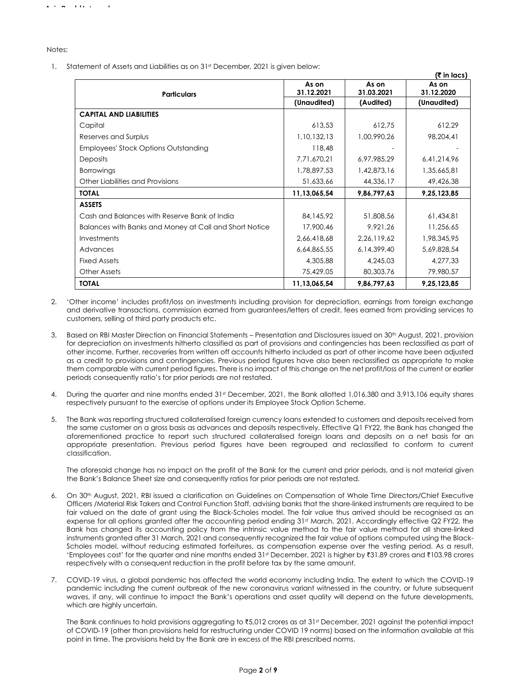Notes:

1. Statement of Assets and Liabilities as on 31st December, 2021 is given below:

|                                                        |                     |                     | (₹ in lacs)         |
|--------------------------------------------------------|---------------------|---------------------|---------------------|
|                                                        | As on<br>31.12.2021 | As on<br>31.03.2021 | As on<br>31.12.2020 |
| <b>Particulars</b>                                     | (Unaudited)         | (Audited)           | (Unaudited)         |
|                                                        |                     |                     |                     |
| <b>CAPITAL AND LIABILITIES</b>                         |                     |                     |                     |
| Capital                                                | 613,53              | 612,75              | 612,29              |
| Reserves and Surplus                                   | 1,10,132,13         | 1,00,990,26         | 98,204,41           |
| Employees' Stock Options Outstanding                   | 118,48              |                     |                     |
| <b>Deposits</b>                                        | 7,71,670,21         | 6,97,985,29         | 6,41,214,96         |
| <b>Borrowings</b>                                      | 1,78,897,53         | 1,42,873,16         | 1,35,665,81         |
| Other Liabilities and Provisions                       | 51,633,66           | 44,336,17           | 49,426,38           |
| <b>TOTAL</b>                                           | 11,13,065,54        | 9,86,797,63         | 9,25,123,85         |
| <b>ASSETS</b>                                          |                     |                     |                     |
| Cash and Balances with Reserve Bank of India           | 84,145,92           | 51,808,56           | 61,434,81           |
| Balances with Banks and Money at Call and Short Notice | 17,900,46           | 9,921,26            | 11,256,65           |
| Investments                                            | 2,66,418,68         | 2,26,119,62         | 1,98,345,95         |
| Advances                                               | 6,64,865,55         | 6, 14, 399, 40      | 5,69,828,54         |
| <b>Fixed Assets</b>                                    | 4,305,88            | 4,245,03            | 4,277,33            |
| <b>Other Assets</b>                                    | 75,429,05           | 80,303,76           | 79,980,57           |
| <b>TOTAL</b>                                           | 11,13,065,54        | 9,86,797,63         | 9,25,123,85         |

- 2. 'Other income' includes profit/loss on investments including provision for depreciation, earnings from foreign exchange and derivative transactions, commission earned from guarantees/letters of credit, fees earned from providing services to customers, selling of third party products etc.
- 3. Based on RBI Master Direction on Financial Statements Presentation and Disclosures issued on 30<sup>th</sup> August, 2021, provision for depreciation on investments hitherto classified as part of provisions and contingencies has been reclassified as part of other income. Further, recoveries from written off accounts hitherto included as part of other income have been adjusted as a credit to provisions and contingencies. Previous period figures have also been reclassified as appropriate to make them comparable with current period figures. There is no impact of this change on the net profit/loss of the current or earlier periods consequently ratio's for prior periods are not restated.
- 4. During the quarter and nine months ended 31st December, 2021, the Bank allotted 1,016,380 and 3,913,106 equity shares respectively pursuant to the exercise of options under its Employee Stock Option Scheme.
- 5. The Bank was reporting structured collateralised foreign currency loans extended to customers and deposits received from the same customer on a gross basis as advances and deposits respectively. Effective Q1 FY22, the Bank has changed the aforementioned practice to report such structured collateralised foreign loans and deposits on a net basis for an appropriate presentation. Previous period figures have been regrouped and reclassified to conform to current classification.

The aforesaid change has no impact on the profit of the Bank for the current and prior periods, and is not material given the Bank's Balance Sheet size and consequently ratios for prior periods are not restated.

- 6. On 30th August, 2021, RBI issued a clarification on Guidelines on Compensation of Whole Time Directors/Chief Executive Officers /Material Risk Takers and Control Function Staff, advising banks that the share-linked instruments are required to be fair valued on the date of grant using the Black-Scholes model. The fair value thus arrived should be recognised as an expense for all options granted after the accounting period ending 31st March, 2021. Accordingly effective Q2 FY22, the Bank has changed its accounting policy from the intrinsic value method to the fair value method for all share-linked instruments granted after 31 March, 2021 and consequently recognized the fair value of options computed using the Black-Scholes model, without reducing estimated forfeitures, as compensation expense over the vesting period. As a result, 'Employees cost' for the quarter and nine months ended 31st December, 2021 is higher by ₹31.89 crores and ₹103.98 crores respectively with a consequent reduction in the profit before tax by the same amount.
- 7. COVID-19 virus, a global pandemic has affected the world economy including India. The extent to which the COVID-19 pandemic including the current outbreak of the new coronavirus variant witnessed in the country, or future subsequent waves, if any, will continue to impact the Bank's operations and asset quality will depend on the future developments, which are highly uncertain.

The Bank continues to hold provisions aggregating to ₹5,012 crores as at 31st December, 2021 against the potential impact of COVID‐19 (other than provisions held for restructuring under COVID 19 norms) based on the information available at this point in time. The provisions held by the Bank are in excess of the RBI prescribed norms.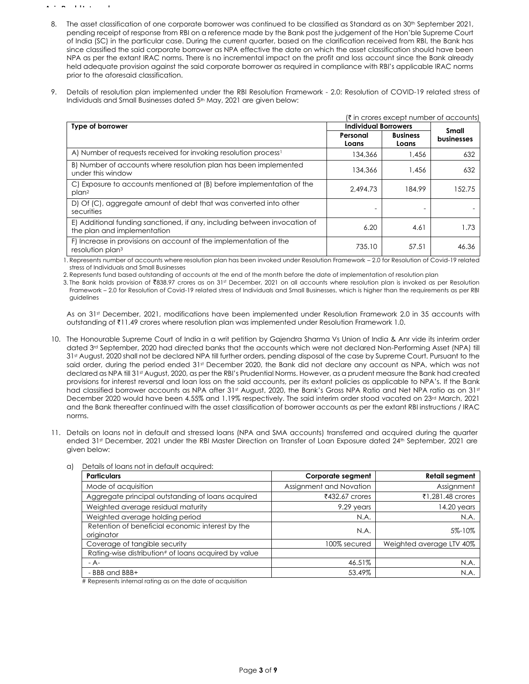- 8. The asset classification of one corporate borrower was continued to be classified as Standard as on 30<sup>th</sup> September 2021, pending receipt of response from RBI on a reference made by the Bank post the judgement of the Hon'ble Supreme Court of India (SC) in the particular case. During the current quarter, based on the clarification received from RBI, the Bank has since classified the said corporate borrower as NPA effective the date on which the asset classification should have been NPA as per the extant IRAC norms. There is no incremental impact on the profit and loss account since the Bank already held adequate provision against the said corporate borrower as required in compliance with RBI's applicable IRAC norms prior to the aforesaid classification.
- 9. Details of resolution plan implemented under the RBI Resolution Framework 2.0: Resolution of COVID-19 related stress of Individuals and Small Businesses dated 5<sup>th</sup> May, 2021 are given below:

|                                                                                                          | (₹ in crores except number of accounts) |                          |            |  |
|----------------------------------------------------------------------------------------------------------|-----------------------------------------|--------------------------|------------|--|
| <b>Individual Borrowers</b><br>Type of borrower                                                          |                                         |                          | Small      |  |
|                                                                                                          | Personal<br>Loans                       | <b>Business</b><br>Loans | businesses |  |
| A) Number of requests received for invoking resolution process <sup>1</sup>                              | 134,366                                 | 1.456                    | 632        |  |
| B) Number of accounts where resolution plan has been implemented<br>under this window                    | 134,366                                 | 1.456                    | 632        |  |
| C) Exposure to accounts mentioned at (B) before implementation of the<br>plan <sup>2</sup>               | 2.494.73                                | 184.99                   | 152.75     |  |
| D) Of (C), aggregate amount of debt that was converted into other<br>securities                          |                                         |                          |            |  |
| E) Additional funding sanctioned, if any, including between invocation of<br>the plan and implementation | 6.20                                    | 4.61                     | 1.73       |  |
| F) Increase in provisions on account of the implementation of the<br>resolution plan <sup>3</sup>        | 735.10                                  | 57.51                    | 46.36      |  |

1. Represents number of accounts where resolution plan has been invoked under Resolution Framework – 2.0 for Resolution of Covid-19 related stress of Individuals and Small Businesses

2. Represents fund based outstanding of accounts at the end of the month before the date of implementation of resolution plan

3. The Bank holds provision of ₹838.97 crores as on 31st December, 2021 on all accounts where resolution plan is invoked as per Resolution Framework – 2.0 for Resolution of Covid-19 related stress of Individuals and Small Businesses, which is higher than the requirements as per RBI guidelines

As on 31st December, 2021, modifications have been implemented under Resolution Framework 2.0 in 35 accounts with outstanding of ₹11.49 crores where resolution plan was implemented under Resolution Framework 1.0.

- 10. The Honourable Supreme Court of India in a writ petition by Gajendra Sharma Vs Union of India & Anr vide its interim order dated 3rd September, 2020 had directed banks that the accounts which were not declared Non-Performing Asset (NPA) till 31st August, 2020 shall not be declared NPA till further orders, pending disposal of the case by Supreme Court. Pursuant to the said order, during the period ended 31st December 2020, the Bank did not declare any account as NPA, which was not declared as NPA till 31st August, 2020, as per the RBI's Prudential Norms. However, as a prudent measure the Bank had created provisions for interest reversal and loan loss on the said accounts, per its extant policies as applicable to NPA's. If the Bank had classified borrower accounts as NPA after 31st August, 2020, the Bank's Gross NPA Ratio and Net NPA ratio as on 31st December 2020 would have been 4.55% and 1.19% respectively. The said interim order stood vacated on 23rd March, 2021 and the Bank thereafter continued with the asset classification of borrower accounts as per the extant RBI instructions / IRAC norms.
- 11. Details on loans not in default and stressed loans (NPA and SMA accounts) transferred and acquired during the quarter ended 31st December, 2021 under the RBI Master Direction on Transfer of Loan Exposure dated 24th September, 2021 are given below:

| <b>Particulars</b>                                             | Corporate segment       | <b>Retail segment</b>    |
|----------------------------------------------------------------|-------------------------|--------------------------|
| Mode of acquisition                                            | Assignment and Novation | Assignment               |
| Aggregate principal outstanding of loans acquired              | ₹432.67 crores          | ₹1,281,48 crores         |
| Weighted average residual maturity                             | 9.29 years              | 14.20 years              |
| Weighted average holding period                                | N.A.                    | N.A.                     |
| Retention of beneficial economic interest by the<br>originator | N.A.                    | 5%-10%                   |
| Coverage of tangible security                                  | 100% secured            | Weighted average LTV 40% |
| Rating-wise distribution# of loans acquired by value           |                         |                          |
| $- A -$                                                        | 46.51%                  | N.A.                     |
| - BBB and BBB+                                                 | 53.49%                  | N.A.                     |

a) Details of loans not in default acquired:

# Represents internal rating as on the date of acquisition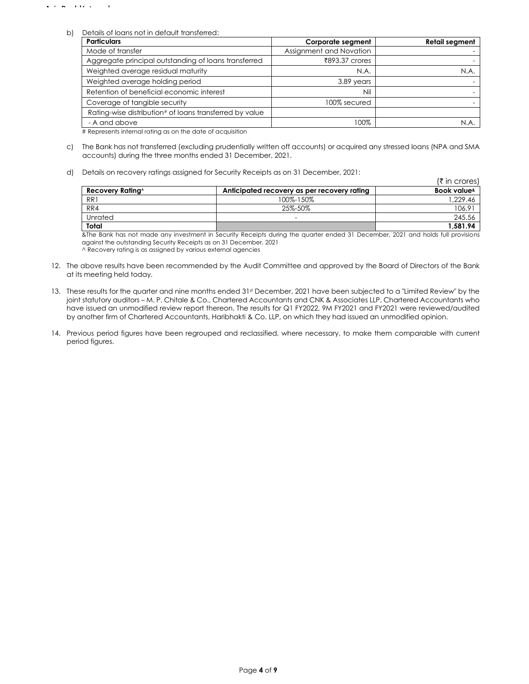b) Details of loans not in default transferred:

| <b>Particulars</b>                                      | Corporate segment       | <b>Retail segment</b> |
|---------------------------------------------------------|-------------------------|-----------------------|
| Mode of transfer                                        | Assignment and Novation |                       |
| Aggregate principal outstanding of loans transferred    | ₹893.37 crores          |                       |
| Weighted average residual maturity                      | N.A.                    | N.A.                  |
| Weighted average holding period                         | 3.89 years              |                       |
| Retention of beneficial economic interest               | Nil                     |                       |
| Coverage of tangible security                           | 100% secured            |                       |
| Rating-wise distribution# of loans transferred by value |                         |                       |
| - A and above                                           | 100%                    | N.A                   |

# Represents internal rating as on the date of acquisition

- c) The Bank has not transferred (excluding prudentially written off accounts) or acquired any stressed loans (NPA and SMA accounts) during the three months ended 31 December, 2021.
- d) Details on recovery ratings assigned for Security Receipts as on 31 December, 2021:

|                                     |                                             | $(\xi \text{ in crores})$   |
|-------------------------------------|---------------------------------------------|-----------------------------|
| <b>Recovery Rating</b> <sup>^</sup> | Anticipated recovery as per recovery rating | Book value <sup>&amp;</sup> |
| RR1                                 | 100%-150%                                   | ,229.46                     |
| RR4                                 | 25%-50%                                     | 106.91                      |
| Unrated                             | $\overline{\phantom{0}}$                    | 245.56                      |
| Total                               |                                             | 1.581.94                    |

&The Bank has not made any investment in Security Receipts during the quarter ended 31 December, 2021 and holds full provisions against the outstanding Security Receipts as on 31 December, 2021 ^ Recovery rating is as assigned by various external agencies

- 12. The above results have been recommended by the Audit Committee and approved by the Board of Directors of the Bank at its meeting held today.
- 13. These results for the quarter and nine months ended 31st December, 2021 have been subjected to a "Limited Review" by the joint statutory auditors – M. P. Chitale & Co., Chartered Accountants and CNK & Associates LLP, Chartered Accountants who have issued an unmodified review report thereon. The results for Q1 FY2022, 9M FY2021 and FY2021 were reviewed/audited by another firm of Chartered Accountants, Haribhakti & Co. LLP, on which they had issued an unmodified opinion.
- 14. Previous period figures have been regrouped and reclassified, where necessary, to make them comparable with current period figures.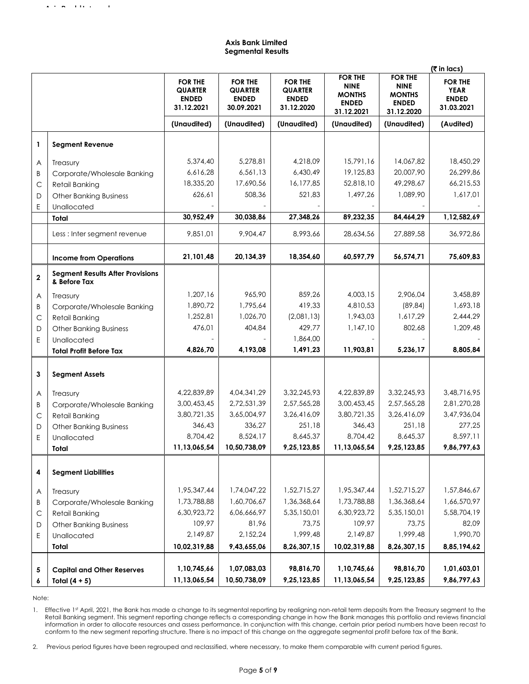## **Axis Bank Limited Segmental Results**

|              |                                                         |                                                                |                                                                |                                                                |                                                                              | (रै in lacs)                                                                 |                                                             |
|--------------|---------------------------------------------------------|----------------------------------------------------------------|----------------------------------------------------------------|----------------------------------------------------------------|------------------------------------------------------------------------------|------------------------------------------------------------------------------|-------------------------------------------------------------|
|              |                                                         | <b>FOR THE</b><br><b>QUARTER</b><br><b>ENDED</b><br>31.12.2021 | <b>FOR THE</b><br><b>QUARTER</b><br><b>ENDED</b><br>30.09.2021 | <b>FOR THE</b><br><b>QUARTER</b><br><b>ENDED</b><br>31.12.2020 | <b>FOR THE</b><br><b>NINE</b><br><b>MONTHS</b><br><b>ENDED</b><br>31.12.2021 | <b>FOR THE</b><br><b>NINE</b><br><b>MONTHS</b><br><b>ENDED</b><br>31.12.2020 | <b>FOR THE</b><br><b>YEAR</b><br><b>ENDED</b><br>31.03.2021 |
|              |                                                         | (Unaudited)                                                    | (Unaudited)                                                    | (Unaudited)                                                    | (Unaudited)                                                                  | (Unaudited)                                                                  | (Audited)                                                   |
| 1            | <b>Segment Revenue</b>                                  |                                                                |                                                                |                                                                |                                                                              |                                                                              |                                                             |
| Α            | Treasury                                                | 5,374,40                                                       | 5,278,81                                                       | 4,218,09                                                       | 15,791,16                                                                    | 14,067,82                                                                    | 18,450,29                                                   |
| Β            | Corporate/Wholesale Banking                             | 6,616,28                                                       | 6,561,13                                                       | 6,430,49                                                       | 19,125,83                                                                    | 20,007,90                                                                    | 26,299,86                                                   |
| C            | Retail Banking                                          | 18,335,20                                                      | 17,690,56                                                      | 16,177,85                                                      | 52,818,10                                                                    | 49,298,67                                                                    | 66,215,53                                                   |
| D            | <b>Other Banking Business</b>                           | 626,61                                                         | 508,36                                                         | 521,83                                                         | 1,497,26                                                                     | 1,089,90                                                                     | 1,617,01                                                    |
| Ε            | Unallocated                                             | 30,952,49                                                      | 30,038,86                                                      | 27,348,26                                                      | 89,232,35                                                                    | 84,464,29                                                                    | 1,12,582,69                                                 |
|              | Total                                                   |                                                                |                                                                |                                                                |                                                                              |                                                                              |                                                             |
|              | Less : Inter segment revenue                            | 9,851,01                                                       | 9,904,47                                                       | 8,993,66                                                       | 28,634,56                                                                    | 27,889,58                                                                    | 36,972,86                                                   |
|              | <b>Income from Operations</b>                           | 21,101,48                                                      | 20,134,39                                                      | 18,354,60                                                      | 60,597,79                                                                    | 56,574,71                                                                    | 75,609,83                                                   |
| $\mathbf 2$  | <b>Segment Results After Provisions</b><br>& Before Tax |                                                                |                                                                |                                                                |                                                                              |                                                                              |                                                             |
| A            | Treasury                                                | 1,207,16                                                       | 965,90                                                         | 859,26                                                         | 4.003.15                                                                     | 2.906.04                                                                     | 3,458,89                                                    |
| B            | Corporate/Wholesale Banking                             | 1,890,72                                                       | 1,795,64                                                       | 419,33                                                         | 4,810,53                                                                     | (89, 84)                                                                     | 1,693,18                                                    |
| C            | <b>Retail Banking</b>                                   | 1,252,81                                                       | 1,026,70                                                       | (2,081,13)                                                     | 1,943,03                                                                     | 1,617,29                                                                     | 2,444,29                                                    |
| D            | <b>Other Banking Business</b>                           | 476,01                                                         | 404,84                                                         | 429,77                                                         | 1,147,10                                                                     | 802,68                                                                       | 1,209,48                                                    |
| Ε            | Unallocated                                             |                                                                |                                                                | 1,864,00                                                       |                                                                              |                                                                              |                                                             |
|              | <b>Total Profit Before Tax</b>                          | 4,826,70                                                       | 4,193,08                                                       | 1,491,23                                                       | 11,903,81                                                                    | 5,236,17                                                                     | 8,805,84                                                    |
| 3            | <b>Segment Assets</b>                                   |                                                                |                                                                |                                                                |                                                                              |                                                                              |                                                             |
| A            | Treasury                                                | 4,22,839,89                                                    | 4,04,341,29                                                    | 3,32,245,93                                                    | 4,22,839,89                                                                  | 3,32,245,93                                                                  | 3,48,716,95                                                 |
| Β            | Corporate/Wholesale Banking                             | 3,00,453,45                                                    | 2,72,531,39                                                    | 2,57,565,28                                                    | 3,00,453,45                                                                  | 2,57,565,28                                                                  | 2,81,270,28                                                 |
| C            | <b>Retail Banking</b>                                   | 3,80,721,35                                                    | 3,65,004,97                                                    | 3,26,416,09                                                    | 3,80,721,35                                                                  | 3,26,416,09                                                                  | 3,47,936,04                                                 |
| D            | <b>Other Banking Business</b>                           | 346,43                                                         | 336,27                                                         | 251,18                                                         | 346,43                                                                       | 251,18                                                                       | 277,25                                                      |
| E            | Unallocated                                             | 8,704,42                                                       | 8,524,17                                                       | 8,645,37                                                       | 8,704,42                                                                     | 8,645,37                                                                     | 8,597,11                                                    |
|              | Total                                                   | 11,13,065,54                                                   | 10,50,738,09                                                   | 9,25,123,85                                                    | 11,13,065,54                                                                 | 9,25,123,85                                                                  | 9,86,797,63                                                 |
| 4            | <b>Segment Liabilities</b>                              |                                                                |                                                                |                                                                |                                                                              |                                                                              |                                                             |
| A            | Treasury                                                | 1,95,347,44                                                    | 1,74,047,22                                                    | 1,52,715,27                                                    | 1,95,347,44                                                                  | 1,52,715,27                                                                  | 1,57,846,67                                                 |
| Β            | Corporate/Wholesale Banking                             | 1,73,788,88                                                    | 1,60,706,67                                                    | 1,36,368,64                                                    | 1,73,788,88                                                                  | 1,36,368,64                                                                  | 1,66,570,97                                                 |
| $\mathsf{C}$ | <b>Retail Banking</b>                                   | 6,30,923,72                                                    | 6,06,666,97                                                    | 5,35,150,01                                                    | 6,30,923,72                                                                  | 5,35,150,01                                                                  | 5,58,704,19                                                 |
| D            | <b>Other Banking Business</b>                           | 109,97                                                         | 81,96                                                          | 73,75                                                          | 109,97                                                                       | 73,75                                                                        | 82,09                                                       |
| Ε            | Unallocated                                             | 2,149,87                                                       | 2,152,24                                                       | 1,999,48                                                       | 2,149,87                                                                     | 1,999,48                                                                     | 1,990,70                                                    |
|              | Total                                                   | 10,02,319,88                                                   | 9,43,655,06                                                    | 8,26,307,15                                                    | 10,02,319,88                                                                 | 8,26,307,15                                                                  | 8,85,194,62                                                 |
| 5            | <b>Capital and Other Reserves</b>                       | 1,10,745,66                                                    | 1,07,083,03                                                    | 98,816,70                                                      | 1,10,745,66                                                                  | 98,816,70                                                                    | 1,01,603,01                                                 |
| 6            | Total $(4 + 5)$                                         | 11,13,065,54                                                   | 10,50,738,09                                                   | 9,25,123,85                                                    | 11,13,065,54                                                                 | 9,25,123,85                                                                  | 9,86,797,63                                                 |

Note:

1. Effective 1st April, 2021, the Bank has made a change to its segmental reporting by realigning non-retail term deposits from the Treasury segment to the Retail Banking segment. This segment reporting change reflects a corresponding change in how the Bank manages this portfolio and reviews financial information in order to allocate resources and assess performance. In conjunction with this change, certain prior period numbers have been recast to conform to the new segment reporting structure. There is no impact of this change on the aggregate segmental profit before tax of the Bank.

2. Previous period figures have been regrouped and reclassified, where necessary, to make them comparable with current period figures.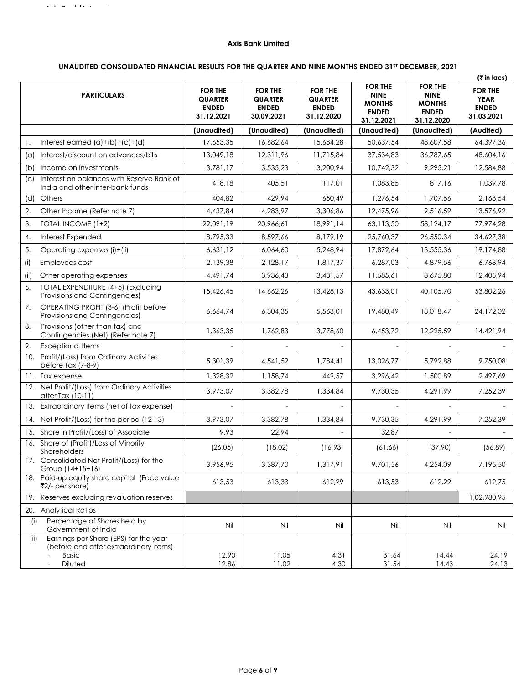### **Axis Bank Limited**

# **UNAUDITED CONSOLIDATED FINANCIAL RESULTS FOR THE QUARTER AND NINE MONTHS ENDED 31ST DECEMBER, 2021**

|            |                                                                                                            |                                                                |                                                         |                                                                |                                                                              |                                                                              | (₹in lacs)                                                  |
|------------|------------------------------------------------------------------------------------------------------------|----------------------------------------------------------------|---------------------------------------------------------|----------------------------------------------------------------|------------------------------------------------------------------------------|------------------------------------------------------------------------------|-------------------------------------------------------------|
|            | <b>PARTICULARS</b>                                                                                         | <b>FOR THE</b><br><b>QUARTER</b><br><b>ENDED</b><br>31.12.2021 | <b>FOR THE</b><br>QUARTER<br><b>ENDED</b><br>30.09.2021 | <b>FOR THE</b><br><b>QUARTER</b><br><b>ENDED</b><br>31.12.2020 | <b>FOR THE</b><br><b>NINE</b><br><b>MONTHS</b><br><b>ENDED</b><br>31.12.2021 | <b>FOR THE</b><br><b>NINE</b><br><b>MONTHS</b><br><b>ENDED</b><br>31.12.2020 | <b>FOR THE</b><br><b>YEAR</b><br><b>ENDED</b><br>31.03.2021 |
|            |                                                                                                            | (Unaudited)                                                    | (Unaudited)                                             | (Unaudited)                                                    | (Unaudited)                                                                  | (Unaudited)                                                                  | (Audited)                                                   |
| 1.         | Interest earned $(a)+(b)+(c)+(d)$                                                                          | 17,653,35                                                      | 16,682,64                                               | 15,684,28                                                      | 50,637,54                                                                    | 48,607,58                                                                    | 64,397,36                                                   |
| $(\alpha)$ | Interest/discount on advances/bills                                                                        | 13,049,18                                                      | 12,311,96                                               | 11,715,84                                                      | 37,534,83                                                                    | 36,787,65                                                                    | 48,604,16                                                   |
| (b)        | Income on Investments                                                                                      | 3,781,17                                                       | 3,535,23                                                | 3,200,94                                                       | 10.742.32                                                                    | 9,295,21                                                                     | 12,584,88                                                   |
| (C)        | Interest on balances with Reserve Bank of<br>India and other inter-bank funds                              | 418,18                                                         | 405,51                                                  | 117,01                                                         | 1,083,85                                                                     | 817,16                                                                       | 1,039,78                                                    |
| (d)        | <b>Others</b>                                                                                              | 404.82                                                         | 429,94                                                  | 650,49                                                         | 1,276,54                                                                     | 1,707,56                                                                     | 2,168,54                                                    |
| 2.         | Other Income (Refer note 7)                                                                                | 4,437,84                                                       | 4,283,97                                                | 3,306,86                                                       | 12,475,96                                                                    | 9,516,59                                                                     | 13,576,92                                                   |
| 3.         | TOTAL INCOME (1+2)                                                                                         | 22,091,19                                                      | 20,966,61                                               | 18,991,14                                                      | 63,113,50                                                                    | 58,124,17                                                                    | 77,974,28                                                   |
| 4.         | Interest Expended                                                                                          | 8,795,33                                                       | 8,597,66                                                | 8,179,19                                                       | 25,760,37                                                                    | 26,550,34                                                                    | 34,627,38                                                   |
| 5.         | Operating expenses (i)+(ii)                                                                                | 6,631,12                                                       | 6,064,60                                                | 5,248,94                                                       | 17,872,64                                                                    | 13,555,36                                                                    | 19,174,88                                                   |
| (i)        | Employees cost                                                                                             | 2,139,38                                                       | 2,128,17                                                | 1,817,37                                                       | 6,287,03                                                                     | 4,879,56                                                                     | 6,768,94                                                    |
| (iii)      | Other operating expenses                                                                                   | 4,491,74                                                       | 3.936.43                                                | 3.431.57                                                       | 11,585,61                                                                    | 8,675,80                                                                     | 12,405,94                                                   |
| 6.         | TOTAL EXPENDITURE (4+5) (Excluding<br>Provisions and Contingencies)                                        | 15,426,45                                                      | 14,662,26                                               | 13,428,13                                                      | 43,633,01                                                                    | 40,105,70                                                                    | 53,802,26                                                   |
| 7.         | OPERATING PROFIT (3-6) (Profit before<br>Provisions and Contingencies)                                     | 6,664,74                                                       | 6,304,35                                                | 5,563,01                                                       | 19,480,49                                                                    | 18,018,47                                                                    | 24,172,02                                                   |
| 8.         | Provisions (other than tax) and<br>Contingencies (Net) (Refer note 7)                                      | 1,363,35                                                       | 1,762,83                                                | 3,778,60                                                       | 6,453,72                                                                     | 12,225,59                                                                    | 14,421,94                                                   |
| 9.         | <b>Exceptional Items</b>                                                                                   |                                                                |                                                         |                                                                |                                                                              |                                                                              |                                                             |
|            | 10. Profit/(Loss) from Ordinary Activities<br>before Tax (7-8-9)                                           | 5,301,39                                                       | 4,541,52                                                | 1,784,41                                                       | 13,026,77                                                                    | 5,792,88                                                                     | 9,750,08                                                    |
|            | 11. Tax expense                                                                                            | 1,328,32                                                       | 1,158,74                                                | 449,57                                                         | 3,296,42                                                                     | 1,500,89                                                                     | 2,497,69                                                    |
|            | 12. Net Profit/(Loss) from Ordinary Activities<br>after Tax (10-11)                                        | 3,973,07                                                       | 3,382,78                                                | 1,334,84                                                       | 9,730,35                                                                     | 4,291,99                                                                     | 7,252,39                                                    |
|            | 13. Extraordinary Items (net of tax expense)                                                               |                                                                |                                                         |                                                                |                                                                              |                                                                              |                                                             |
|            | 14. Net Profit/(Loss) for the period (12-13)                                                               | 3,973,07                                                       | 3,382,78                                                | 1,334,84                                                       | 9,730,35                                                                     | 4,291,99                                                                     | 7,252,39                                                    |
|            | 15. Share in Profit/(Loss) of Associate                                                                    | 9,93                                                           | 22,94                                                   |                                                                | 32,87                                                                        |                                                                              |                                                             |
| 16.        | Share of (Profit)/Loss of Minority<br>Shareholders                                                         | (26, 05)                                                       | (18,02)                                                 | (16, 93)                                                       | (61, 66)                                                                     | (37,90)                                                                      | (56, 89)                                                    |
|            | 17. Consolidated Net Profit/(Loss) for the<br>Group (14+15+16)                                             | 3,956,95                                                       | 3,387,70                                                | 1,317,91                                                       | 9,701,56                                                                     | 4,254,09                                                                     | 7,195,50                                                    |
|            | 18. Paid-up equity share capital (Face value<br>₹2/- per share)                                            | 613,53                                                         | 613,33                                                  | 612,29                                                         | 613,53                                                                       | 612,29                                                                       | 612,75                                                      |
|            | 19. Reserves excluding revaluation reserves                                                                |                                                                |                                                         |                                                                |                                                                              |                                                                              | 1,02,980,95                                                 |
|            | 20. Analytical Ratios                                                                                      |                                                                |                                                         |                                                                |                                                                              |                                                                              |                                                             |
| (i)        | Percentage of Shares held by<br>Government of India                                                        | Nil                                                            | Nil                                                     | Nil                                                            | Nil                                                                          | Nil                                                                          | Nil                                                         |
| (ii)       | Earnings per Share (EPS) for the year<br>(before and after extraordinary items)<br><b>Basic</b><br>Diluted | 12.90<br>12.86                                                 | 11.05<br>11.02                                          | 4.31<br>4.30                                                   | 31.64<br>31.54                                                               | 14.44<br>14.43                                                               | 24.19<br>24.13                                              |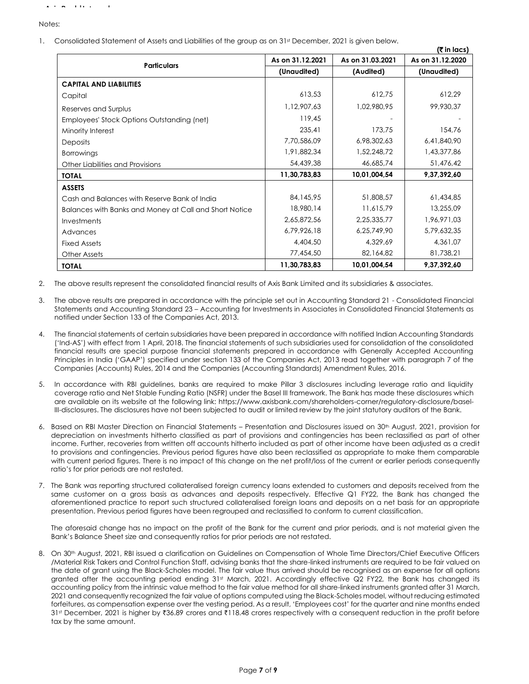Notes:

1. Consolidated Statement of Assets and Liabilities of the group as on 31st December, 2021 is given below.

|                                                        |                  |                  | (₹ in lacs)      |
|--------------------------------------------------------|------------------|------------------|------------------|
|                                                        | As on 31.12.2021 | As on 31.03.2021 | As on 31.12.2020 |
| <b>Particulars</b>                                     | (Unaudited)      | (Audited)        | (Unaudited)      |
| <b>CAPITAL AND LIABILITIES</b>                         |                  |                  |                  |
| Capital                                                | 613,53           | 612,75           | 612,29           |
| Reserves and Surplus                                   | 1,12,907,63      | 1,02,980,95      | 99,930,37        |
| Employees' Stock Options Outstanding (net)             | 119,45           |                  |                  |
| Minority Interest                                      | 235,41           | 173,75           | 154,76           |
| <b>Deposits</b>                                        | 7,70,586,09      | 6,98,302,63      | 6,41,840,90      |
| <b>Borrowings</b>                                      | 1,91,882,34      | 1,52,248,72      | 1,43,377,86      |
| Other Liabilities and Provisions                       | 54,439,38        | 46,685,74        | 51,476,42        |
| <b>TOTAL</b>                                           | 11,30,783,83     | 10,01,004,54     | 9,37,392,60      |
| <b>ASSETS</b>                                          |                  |                  |                  |
| Cash and Balances with Reserve Bank of India           | 84,145,95        | 51,808,57        | 61,434,85        |
| Balances with Banks and Money at Call and Short Notice | 18,980,14        | 11,615,79        | 13,255,09        |
| Investments                                            | 2,65,872,56      | 2,25,335,77      | 1,96,971,03      |
| Advances                                               | 6,79,926,18      | 6,25,749,90      | 5,79,632,35      |
| <b>Fixed Assets</b>                                    | 4,404,50         | 4,329,69         | 4,361,07         |
| <b>Other Assets</b>                                    | 77,454,50        | 82,164,82        | 81,738,21        |
| <b>TOTAL</b>                                           | 11,30,783,83     | 10,01,004,54     | 9,37,392,60      |

2. The above results represent the consolidated financial results of Axis Bank Limited and its subsidiaries & associates.

- 3. The above results are prepared in accordance with the principle set out in Accounting Standard 21 Consolidated Financial Statements and Accounting Standard 23 – Accounting for Investments in Associates in Consolidated Financial Statements as notified under Section 133 of the Companies Act, 2013.
- 4. The financial statements of certain subsidiaries have been prepared in accordance with notified Indian Accounting Standards ('Ind-AS') with effect from 1 April, 2018. The financial statements of such subsidiaries used for consolidation of the consolidated financial results are special purpose financial statements prepared in accordance with Generally Accepted Accounting Principles in India ('GAAP') specified under section 133 of the Companies Act, 2013 read together with paragraph 7 of the Companies (Accounts) Rules, 2014 and the Companies (Accounting Standards) Amendment Rules, 2016.
- 5. In accordance with RBI guidelines, banks are required to make Pillar 3 disclosures including leverage ratio and liquidity coverage ratio and Net Stable Funding Ratio (NSFR) under the Basel III framework. The Bank has made these disclosures which are available on its website at the following link: https://www.axisbank.com/shareholders-corner/regulatory-disclosure/basel-III-disclosures. The disclosures have not been subjected to audit or limited review by the joint statutory auditors of the Bank.
- 6. Based on RBI Master Direction on Financial Statements Presentation and Disclosures issued on 30<sup>th</sup> August, 2021, provision for depreciation on investments hitherto classified as part of provisions and contingencies has been reclassified as part of other income. Further, recoveries from written off accounts hitherto included as part of other income have been adjusted as a credit to provisions and contingencies. Previous period figures have also been reclassified as appropriate to make them comparable with current period figures. There is no impact of this change on the net profit/loss of the current or earlier periods consequently ratio's for prior periods are not restated.
- 7. The Bank was reporting structured collateralised foreign currency loans extended to customers and deposits received from the same customer on a gross basis as advances and deposits respectively. Effective Q1 FY22, the Bank has changed the aforementioned practice to report such structured collateralised foreign loans and deposits on a net basis for an appropriate presentation. Previous period figures have been regrouped and reclassified to conform to current classification.

The aforesaid change has no impact on the profit of the Bank for the current and prior periods, and is not material given the Bank's Balance Sheet size and consequently ratios for prior periods are not restated.

8. On 30<sup>th</sup> August, 2021, RBI issued a clarification on Guidelines on Compensation of Whole Time Directors/Chief Executive Officers /Material Risk Takers and Control Function Staff, advising banks that the share-linked instruments are required to be fair valued on the date of grant using the Black-Scholes model. The fair value thus arrived should be recognised as an expense for all options granted after the accounting period ending 31st March, 2021. Accordingly effective Q2 FY22, the Bank has changed its accounting policy from the intrinsic value method to the fair value method for all share-linked instruments granted after 31 March, 2021 and consequently recognized the fair value of options computed using the Black-Scholes model, without reducing estimated forfeitures, as compensation expense over the vesting period. As a result, 'Employees cost' for the quarter and nine months ended 31st December, 2021 is higher by ₹36.89 crores and ₹118.48 crores respectively with a consequent reduction in the profit before tax by the same amount.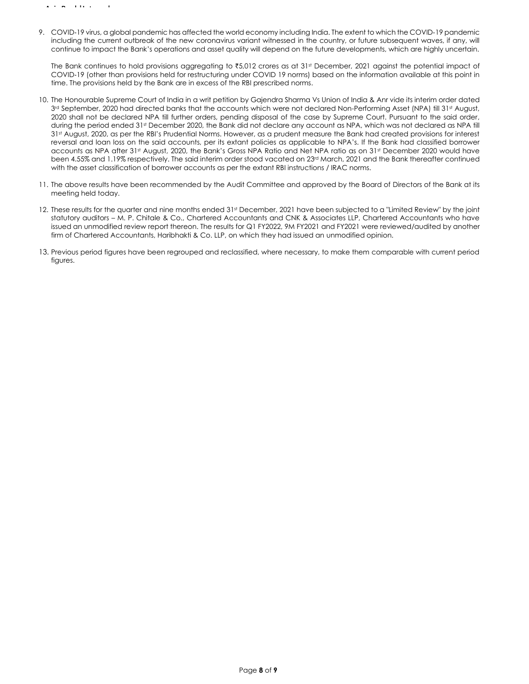9. COVID‐19 virus, a global pandemic has affected the world economy including India. The extent to which the COVID‐19 pandemic including the current outbreak of the new coronavirus variant witnessed in the country, or future subsequent waves, if any, will continue to impact the Bank's operations and asset quality will depend on the future developments, which are highly uncertain.

The Bank continues to hold provisions aggregating to  $\overline{3}5,012$  crores as at 31st December, 2021 against the potential impact of COVID‐19 (other than provisions held for restructuring under COVID 19 norms) based on the information available at this point in time. The provisions held by the Bank are in excess of the RBI prescribed norms.

- 10. The Honourable Supreme Court of India in a writ petition by Gajendra Sharma Vs Union of India & Anr vide its interim order dated 3rd September, 2020 had directed banks that the accounts which were not declared Non-Performing Asset (NPA) till 31st August, 2020 shall not be declared NPA till further orders, pending disposal of the case by Supreme Court. Pursuant to the said order, during the period ended 31<sup>st</sup> December 2020, the Bank did not declare any account as NPA, which was not declared as NPA till 31st August, 2020, as per the RBI's Prudential Norms. However, as a prudent measure the Bank had created provisions for interest reversal and loan loss on the said accounts, per its extant policies as applicable to NPA's. If the Bank had classified borrower accounts as NPA after 31st August, 2020, the Bank's Gross NPA Ratio and Net NPA ratio as on 31st December 2020 would have been 4.55% and 1.19% respectively. The said interim order stood vacated on 23rd March, 2021 and the Bank thereafter continued with the asset classification of borrower accounts as per the extant RBI instructions / IRAC norms.
- 11. The above results have been recommended by the Audit Committee and approved by the Board of Directors of the Bank at its meeting held today.
- 12. These results for the quarter and nine months ended 31st December, 2021 have been subjected to a "Limited Review" by the joint statutory auditors – M. P. Chitale & Co., Chartered Accountants and CNK & Associates LLP, Chartered Accountants who have issued an unmodified review report thereon. The results for Q1 FY2022, 9M FY2021 and FY2021 were reviewed/audited by another firm of Chartered Accountants, Haribhakti & Co. LLP, on which they had issued an unmodified opinion.
- 13. Previous period figures have been regrouped and reclassified, where necessary, to make them comparable with current period figures.